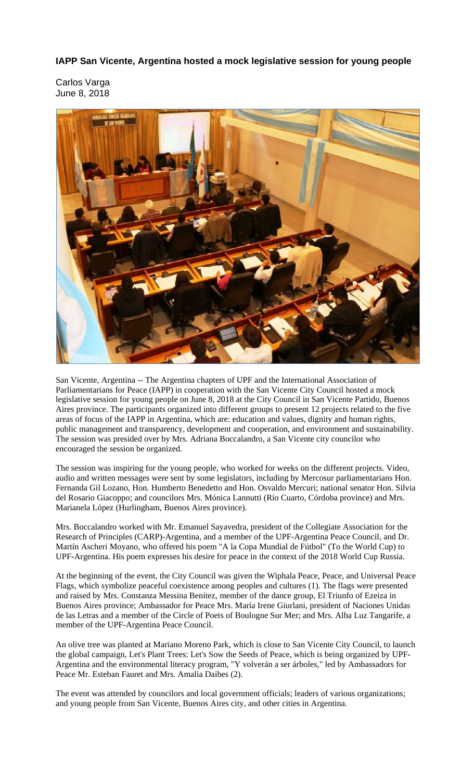**IAPP San Vicente, Argentina hosted a mock legislative session for young people** 

Carlos Varga June 8, 2018



San Vicente, Argentina -- The Argentina chapters of UPF and the International Association of Parliamentarians for Peace (IAPP) in cooperation with the San Vicente City Council hosted a mock legislative session for young people on June 8, 2018 at the City Council in San Vicente Partido, Buenos Aires province. The participants organized into different groups to present 12 projects related to the five areas of focus of the IAPP in Argentina, which are: education and values, dignity and human rights, public management and transparency, development and cooperation, and environment and sustainability. The session was presided over by Mrs. Adriana Boccalandro, a San Vicente city councilor who encouraged the session be organized.

The session was inspiring for the young people, who worked for weeks on the different projects. Video, audio and written messages were sent by some legislators, including by Mercosur parliamentarians Hon. Fernanda Gil Lozano, Hon. Humberto Benedetto and Hon. Osvaldo Mercuri; national senator Hon. Silvia del Rosario Giacoppo; and councilors Mrs. Mónica Lannutti (Río Cuarto, Córdoba province) and Mrs. Marianela López (Hurlingham, Buenos Aires province).

Mrs. Boccalandro worked with Mr. Emanuel Sayavedra, president of the Collegiate Association for the Research of Principles (CARP)-Argentina, and a member of the UPF-Argentina Peace Council, and Dr. Martín Ascheri Moyano, who offered his poem "A la Copa Mundial de Fútbol" (To the World Cup) to UPF-Argentina. His poem expresses his desire for peace in the context of the 2018 World Cup Russia.

At the beginning of the event, the City Council was given the Wiphala Peace, Peace, and Universal Peace Flags, which symbolize peaceful coexistence among peoples and cultures (1). The flags were presented and raised by Mrs. Constanza Messina Benítez, member of the dance group, El Triunfo of Ezeiza in Buenos Aires province; Ambassador for Peace Mrs. María Irene Giurlani, president of Naciones Unidas de las Letras and a member of the Circle of Poets of Boulogne Sur Mer; and Mrs. Alba Luz Tangarife, a member of the UPF-Argentina Peace Council.

An olive tree was planted at Mariano Moreno Park, which is close to San Vicente City Council, to launch the global campaign, Let's Plant Trees: Let's Sow the Seeds of Peace, which is being organized by UPF-Argentina and the environmental literacy program, "Y volverán a ser árboles," led by Ambassadors for Peace Mr. Esteban Fauret and Mrs. Amalia Daibes (2).

The event was attended by councilors and local government officials; leaders of various organizations; and young people from San Vicente, Buenos Aires city, and other cities in Argentina.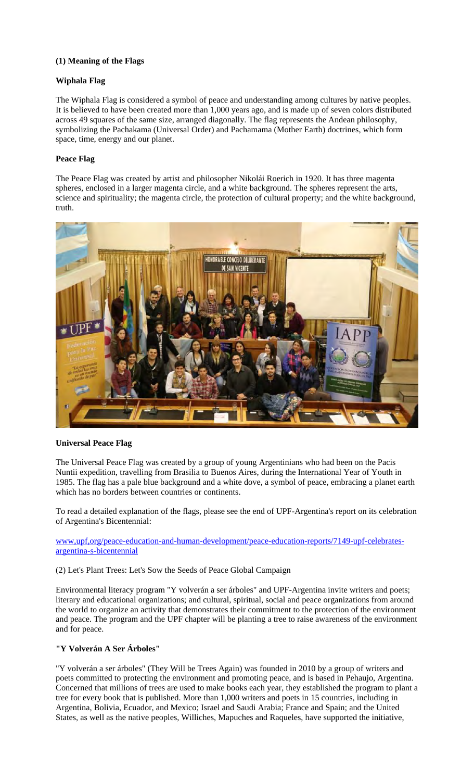## **(1) Meaning of the Flags**

## **Wiphala Flag**

The Wiphala Flag is considered a symbol of peace and understanding among cultures by native peoples. It is believed to have been created more than 1,000 years ago, and is made up of seven colors distributed across 49 squares of the same size, arranged diagonally. The flag represents the Andean philosophy, symbolizing the Pachakama (Universal Order) and Pachamama (Mother Earth) doctrines, which form space, time, energy and our planet.

# **Peace Flag**

The Peace Flag was created by artist and philosopher Nikolái Roerich in 1920. It has three magenta spheres, enclosed in a larger magenta circle, and a white background. The spheres represent the arts, science and spirituality; the magenta circle, the protection of cultural property; and the white background, truth.



### **Universal Peace Flag**

The Universal Peace Flag was created by a group of young Argentinians who had been on the Pacis Nuntii expedition, travelling from Brasilia to Buenos Aires, during the International Year of Youth in 1985. The flag has a pale blue background and a white dove, a symbol of peace, embracing a planet earth which has no borders between countries or continents.

To read a detailed explanation of the flags, please see the end of UPF-Argentina's report on its celebration of Argentina's Bicentennial:

www,upf,org/peace-education-and-human-development/peace-education-reports/7149-upf-celebratesargentina-s-bicentennial

### (2) Let's Plant Trees: Let's Sow the Seeds of Peace Global Campaign

Environmental literacy program "Y volverán a ser árboles" and UPF-Argentina invite writers and poets; literary and educational organizations; and cultural, spiritual, social and peace organizations from around the world to organize an activity that demonstrates their commitment to the protection of the environment and peace. The program and the UPF chapter will be planting a tree to raise awareness of the environment and for peace.

# **"Y Volverán A Ser Árboles"**

"Y volverán a ser árboles" (They Will be Trees Again) was founded in 2010 by a group of writers and poets committed to protecting the environment and promoting peace, and is based in Pehaujo, Argentina. Concerned that millions of trees are used to make books each year, they established the program to plant a tree for every book that is published. More than 1,000 writers and poets in 15 countries, including in Argentina, Bolivia, Ecuador, and Mexico; Israel and Saudi Arabia; France and Spain; and the United States, as well as the native peoples, Williches, Mapuches and Raqueles, have supported the initiative,